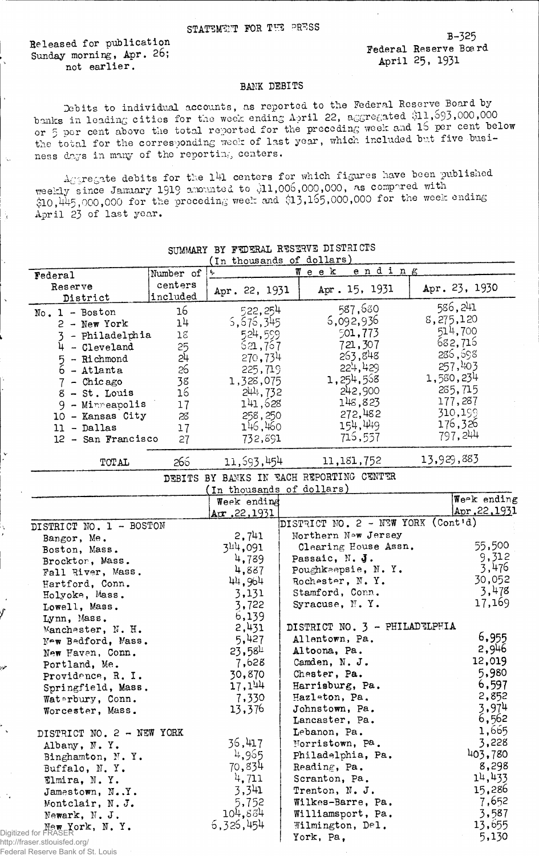Released for publication Sunday morning, Apr. 26; not earlier.

K.

 $\mathbf{\hat{3}}$ 

B-325 Federal Reserve Board April 25, 1931

## BANK DEBITS

Debits to individual accounts, as reported to the Federal Reserve Board by banks in leading cities for the week ending April 22, aggregated \$11,593,000,000 or 5 per cent above the total reported for the preceding week and 15 per cent below the total for the corresponding week of last year, which included but five business days in many of the reporting centers.

 $A_C$ gregate debits for the 141 centers for which figures have been published weekly since January 1919 amounted to \$11,006,000,000, as compared with  $$10,115,000,000$  for the preceding week and  $$13,155,000,000$  for the week ending April 23 of last year.

|                                            |                | (In thousands of dollars)                |                                          |                          |  |  |  |
|--------------------------------------------|----------------|------------------------------------------|------------------------------------------|--------------------------|--|--|--|
| Federal                                    | Number of      | ending<br>$W$ eek                        |                                          |                          |  |  |  |
| centers<br>Reserve<br>included<br>District |                | Apr. 22, 1931                            | Apr. 15, 1931                            | Apr. 23, 1930            |  |  |  |
| $No. 1 - Boston$                           | 16             | 522,254                                  | 587,680                                  | 586,241                  |  |  |  |
| $2 - New York$                             | 1 <sup>1</sup> | 5, 676, 345                              | 5,092,936                                | 8,275,120                |  |  |  |
| - Philadelphia<br>3                        | $1\mathrm{g}$  | 524,559                                  | 501,773                                  | 514,700                  |  |  |  |
| $4 - C1$ eveland                           | 25             | 521,757                                  | 721,307                                  | 682,716                  |  |  |  |
| - Richmond<br>5                            | 24             | 270,734                                  | 263,848                                  | 286,698                  |  |  |  |
| $\bar{6}$ - Atlanta                        | 26             | 225,719                                  | 224,429                                  | 257,403                  |  |  |  |
| $7 -$ Chicago                              | 38             | 1,328,075                                | 1,254,558                                | 1,580,234                |  |  |  |
| $8 - St.$ Louis                            | 16             | 244,732                                  | 242,900                                  | 285,715                  |  |  |  |
| 9 - Minneapolis                            | 17             | 141,628                                  | 148,823                                  | 177,287                  |  |  |  |
| 10 - Kansas City                           | 28             | 258,250                                  | 272,482                                  | 310,199                  |  |  |  |
|                                            |                | 146,460                                  | 154,449                                  | 176,326                  |  |  |  |
| $11 - Dallas$                              | 17             | 732,891                                  | 715,557                                  | 797,244                  |  |  |  |
| 12 - San Francisco                         | 27             |                                          |                                          |                          |  |  |  |
| TOTAL                                      | 266            | 11,593,454                               | 11,181,752                               | 13,929,883               |  |  |  |
|                                            |                |                                          | DEBITS BY BANKS IN EACH REPORTING CENTER |                          |  |  |  |
|                                            |                | (In thousands of dollars)<br>Week ending |                                          | Week ending              |  |  |  |
|                                            |                | Ar.22,1931                               |                                          | Apr.22,1931              |  |  |  |
| DISTRICT NO. 1 - BOSTON                    |                |                                          | DISTRICT NO. 2 - NEW YORK (Cont'd)       |                          |  |  |  |
| Bangor, Me.                                |                | 2,741                                    | Northern Now Jersey                      |                          |  |  |  |
| Boston, Mass.                              |                | 344,091                                  | Clearing House Assn.                     | 55,500                   |  |  |  |
| Brockton, Mass.                            |                | 4,789                                    | Passaic, N. J.                           | 9,312                    |  |  |  |
| Fall River, Mass.                          |                | 4,887                                    | Poughkeepsie, N.Y.                       | 3,476                    |  |  |  |
| Hartford, Conn.                            |                | 44,964                                   | Rochester, N.Y.                          | 30,052                   |  |  |  |
| Holyoke, Mass.                             |                | 3,131                                    | Stamford, Conn.                          | 3,478                    |  |  |  |
| Lowell, Mass.                              |                | 3,722                                    | Syracuse, N.Y.                           | 17,169                   |  |  |  |
| Lynn, Mass.                                |                | 6,139                                    |                                          |                          |  |  |  |
| Manchester, N. H.                          |                | 2,431                                    | DISTRICT NO. 3 - PHILADTLPHIA            |                          |  |  |  |
| New Bedford, Mass.                         |                | 5,427                                    | Allentown, Pa.                           | 6,955                    |  |  |  |
| New Haven, Conn.                           |                | $23,58^{\text{L}}$                       | Altoona, Pa.                             | 2,946                    |  |  |  |
| Portland, Me.                              |                | 7,628                                    | Camden, N. J.                            | 12,019                   |  |  |  |
|                                            |                | 30,870                                   | Chester, Pa.                             | 5,980                    |  |  |  |
| Providence, R. I.                          |                | 17,144                                   | Harrisburg, Pa.                          | 6,597                    |  |  |  |
| Springfield, Mass.                         |                |                                          | Hazleton, Pa.                            | 2,852                    |  |  |  |
| Waterbury, Conn.                           |                | 7,330<br>13,376                          | Johnstown, Pa.                           | 3,974                    |  |  |  |
| Worcester, Mass.                           |                |                                          | Lancaster, Pa.                           | 6,562                    |  |  |  |
|                                            |                |                                          |                                          | 1,665                    |  |  |  |
| DISTRICT NO. 2 - NEW YORK                  |                | 36,417                                   | Lebanon, Pa.<br>Morristown, Pa.          | 3,228                    |  |  |  |
| Albany, N.Y.                               |                |                                          |                                          | 403,780                  |  |  |  |
| Binghamton, N.Y.                           |                | 4,965                                    | Philadelphia, Pa.                        |                          |  |  |  |
| Buffalo, N.Y.                              |                | 70,834                                   | Reading, Pa.                             | 8,298                    |  |  |  |
| Elmira, N.Y.                               |                | 4,711                                    | Scranton, Pa.                            | 14,433                   |  |  |  |
| Jamestown, N.Y.                            |                | 3,341                                    | Trenton, N. J.                           | 15,286                   |  |  |  |
|                                            |                |                                          |                                          | 7,652                    |  |  |  |
| Montclair, N.J.                            |                | 5,752                                    | Wilkes-Barre, Pa.                        |                          |  |  |  |
| Newark, N. J.                              |                | 104,884                                  | Williamsport, Pa.                        |                          |  |  |  |
| New York, N.Y.                             |                | 6,326,454                                | Wilmington, Del.<br>York, Pa,            | 3,587<br>13,655<br>5,130 |  |  |  |

## SUMMARY BY FEDERAL RESERVE DISTRICTS

http://fra Federal Reserve Bank of St. Louis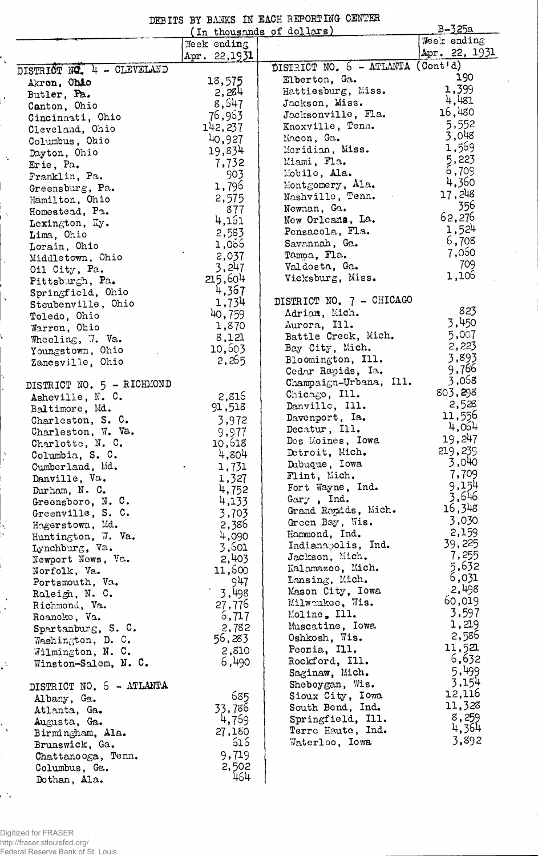|  |  | DEBITS BY BANKS IN EACH REPORTING CENTER                                                                        |  |
|--|--|-----------------------------------------------------------------------------------------------------------------|--|
|  |  |                                                                                                                 |  |
|  |  | the contract of the contract of the contract of the contract of the contract of the contract of the contract of |  |

|                                        | B-325a          |                                             |                 |
|----------------------------------------|-----------------|---------------------------------------------|-----------------|
|                                        | Week ending     | (In thousands of dollars)                   | Week ending     |
|                                        | Apr. 22,1931    |                                             | Apr. 22, 1931   |
| DISTRICT NO. 4 - CLEVELAND             |                 | DISTRICT NO. 6 - ATLANTA (Cont'd)           |                 |
| Akron, Ohio                            | 18,575          | Elberton, Ga.                               | 190             |
| Butler, Pa.                            | 2,284           | Hattiesburg, Miss.                          | 1,399           |
| Canton, Chio                           | 8,547           | Jackson, Miss.                              | 4,481           |
| Cincinnati, Ohio                       | 76,963          | Jocksonville, Fla.                          | 16,480          |
| Cleveland, Ohio                        | 142,237         | Knoxville, Tenn.                            | 5,552           |
| Columbus, Ohio                         | 40,927          | Macon, Ga.                                  | 3,048           |
| Dayton, Ohio                           | 19,834          | Meridian, Miss.                             | 1,569           |
| Erie, Pa.                              | 7,732           | Miami, Fla.                                 | 5,223           |
| Franklin, Pa.                          | 903             | Mobile, Ala.                                | 6,709           |
| Greensburg, Pa.                        | 1,796           | Montgomery, Ala.                            | 4,360           |
| Hamilton, Ohio                         | 2,575           | Nashville, Tenn.                            | 17,248          |
| Homestead, Pa.                         | 877             | Newnan, Ga.                                 | 356             |
| Lexington, Ky.                         | 4,161           | New Orleans, La.                            | 62,276          |
| Lima, Ohio                             | 2,583           | Pensacola, Fla.                             | 1,524           |
| Lorain, Ohio                           | 1,055           | Savannah, Ga.                               | 6,708           |
| Middletown, Ohio                       | 2,037           | Tampa, Fla.                                 | 7,060           |
| Oil City, Pa.                          | 3,247           | Valdosta, Ga.                               | 709             |
| Pittsburgh, Pa.                        | 215,604         | Vicksburg, Miss.                            | 1,106           |
| Springfield, Ohio                      | 4,367           |                                             |                 |
| Steubenville, Ohio                     | 1,734           | DISTRICT NO. 7 - CHICAGO                    | 823             |
| Toledo, Ohio                           | 40,759          | Adrian, Mich.                               | 3,450           |
| Warren, Ohio                           | 1,870           | Aurora, Ill.                                |                 |
| Wheeling, W. Va.                       | 8,121           | Battle Creck, Mich.                         | 5,007<br>2,223  |
| Youngstown, Ohio                       | 10,603          | Bay City, Mich.                             | 3,893           |
| Zanesville, Ohio                       | 2,265           | Bloomington, Ill.                           | 9,766           |
|                                        |                 | Cedar Rapids, Ia.<br>Champaign-Urbana, Ill. | 3,058           |
| DISTRICT NO. 5 - RICHMOND              |                 | Chicago, Ill.                               | 803,298         |
| Asheville, N. C.                       | 2,816           | Danville, Ill.                              | 2,528           |
| Baltimore, Md.                         | 91,518          | Davenport, Ia.                              | 11,556          |
| Charleston, S. C.                      | 3,972           | Decatur, Ill.                               | 4,064           |
| Charleston, W. Va.<br>Charlotte, N. C. | 9,977<br>10,618 | Des Moines, Iowa                            | 19,247          |
| Columbia, S. C.                        | 4,804           | Detroit, Mich.                              | 219,239         |
| Cumberland, Md.                        | 1,731           | Dubuque, Iowa                               | 3,040           |
| Danville, Va.                          | 1,327           | Flint, Mich.                                | 7,709           |
| Durham, N. C.                          | 4,752           | Fort Wayne, Ind.                            | 9,154           |
| Greensboro, N. C.                      | 4,133           | $Gary$ , Ind.                               | 3,646           |
| Greenville, S. C.                      | 3,703           | Grand Rapids, Mich.                         | 16,348          |
| Hogerstown, Md.                        | 2,386           | Green Bay, Wis.                             | 3,030           |
| Huntington, W. Va.                     | 4,090           | Hammond, Ind.                               | 2,159           |
| Lynchburg, Va.                         | 3,601           | Indianapolis, Ind.                          | 39,225          |
| Newport News, Va.                      | 2,403           | Jackson, Mich.                              | 7,255           |
| Norfolk, Va.                           | 11,600          | Kalamazoo, Mich.                            | 5,632           |
| Portsmouth, Va.                        | 947             | Lansing, Mich.                              | 6,031           |
| Raleigh, N. C.                         | 3,498           | Mason City, Iowa                            | 2,498           |
| Richmond, Va.                          | 27,776          | Milwoukee, Wis.                             | 60,019          |
| Roanoke, Va.                           | 6,717           | Moline, Ill.                                | 3,597           |
| Spartanburg, S. C.                     | 2,782           | Muscatine, Iowa                             | 1,219           |
| Washington, D. C.                      | 56,283          | Oshkosh, Wis.                               | 2,586           |
| Wilmington, N. C.                      | 2,810           | Peoria, Ill.                                | 11,521          |
| Winston-Salem, N. C.                   | 6,490           | Rockford, Ill.                              | 6,632           |
|                                        |                 | Saginaw, Mich.                              | 5,499           |
| DISTRICT NO. 6 - ATLANTA               |                 | Sheboygan, Wis.                             | 3,154<br>12,116 |
| Albany, Ga.                            | 685             | Sioux City, Iowa                            | 11,328          |
| Atlanta, Ga.                           | 33,786          | South Bend, Ind.                            | 8,259           |
| Augusta, Ga.                           | 4,759           | Springfield, Ill.                           | 4,364           |
| Birmingham, Ala.                       | 27,180          | Terro Haute, Ind.                           | 3,892           |
| Brunswick, Ga.                         | 616             | Waterloo, Iowa                              |                 |
| Chattanooga, Tenn.                     | 9,719           |                                             |                 |
| Columbus, Ga.                          | 2,502<br>464    |                                             |                 |
| Dothan, Ala.                           |                 |                                             |                 |

Digitized for FRASER<br>http://fraser.stlouisfed.org/<br>Federal Reserve Bank of St. Louis

i.

 $\ddot{\phantom{1}}$ 

 $\bar{\psi}$ 

 $\tilde{\lambda}$ 

l,

 $\hat{\mathbf{v}}$ 

 $\ddot{\phantom{0}}$ 

i.

 $\frac{1}{2}$ 

 $\frac{1}{2}$ 

 $\frac{1}{2}$ 

e na